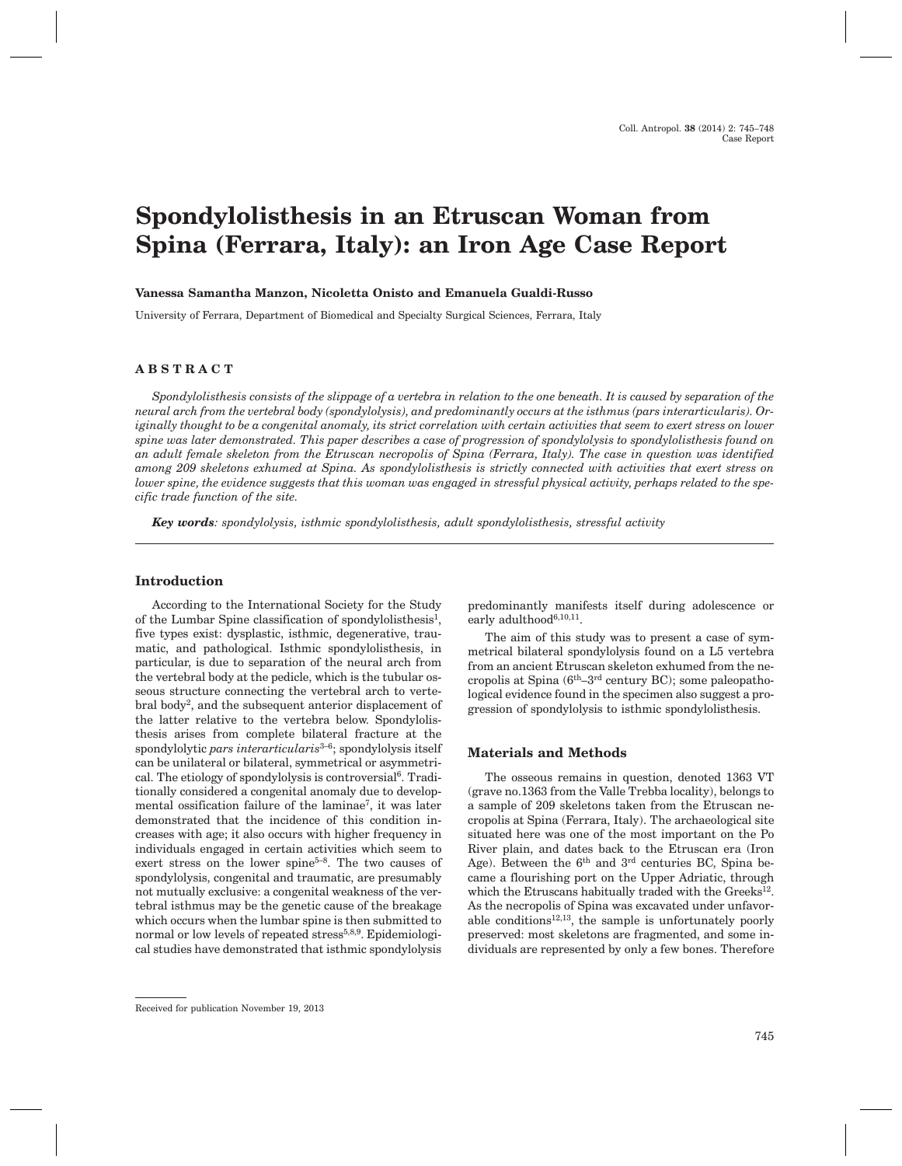# **Spondylolisthesis in an Etruscan Woman from Spina (Ferrara, Italy): an Iron Age Case Report**

#### **Vanessa Samantha Manzon, Nicoletta Onisto and Emanuela Gualdi-Russo**

University of Ferrara, Department of Biomedical and Specialty Surgical Sciences, Ferrara, Italy

# **ABSTRACT**

*Spondylolisthesis consists of the slippage of a vertebra in relation to the one beneath. It is caused by separation of the neural arch from the vertebral body (spondylolysis), and predominantly occurs at the isthmus (pars interarticularis). Originally thought to be a congenital anomaly, its strict correlation with certain activities that seem to exert stress on lower spine was later demonstrated. This paper describes a case of progression of spondylolysis to spondylolisthesis found on an adult female skeleton from the Etruscan necropolis of Spina (Ferrara, Italy). The case in question was identified among 209 skeletons exhumed at Spina. As spondylolisthesis is strictly connected with activities that exert stress on lower spine, the evidence suggests that this woman was engaged in stressful physical activity, perhaps related to the specific trade function of the site.*

*Key words: spondylolysis, isthmic spondylolisthesis, adult spondylolisthesis, stressful activity*

# **Introduction**

According to the International Society for the Study of the Lumbar Spine classification of spondylolisthesis<sup>1</sup>, five types exist: dysplastic, isthmic, degenerative, traumatic, and pathological. Isthmic spondylolisthesis, in particular, is due to separation of the neural arch from the vertebral body at the pedicle, which is the tubular osseous structure connecting the vertebral arch to vertebral body2, and the subsequent anterior displacement of the latter relative to the vertebra below. Spondylolisthesis arises from complete bilateral fracture at the spondylolytic *pars interarticularis*3–6; spondylolysis itself can be unilateral or bilateral, symmetrical or asymmetrical. The etiology of spondylolysis is controversial<sup>6</sup>. Traditionally considered a congenital anomaly due to developmental ossification failure of the laminae<sup>7</sup>, it was later demonstrated that the incidence of this condition increases with age; it also occurs with higher frequency in individuals engaged in certain activities which seem to exert stress on the lower spine $5-8$ . The two causes of spondylolysis, congenital and traumatic, are presumably not mutually exclusive: a congenital weakness of the vertebral isthmus may be the genetic cause of the breakage which occurs when the lumbar spine is then submitted to normal or low levels of repeated stress<sup>5,8,9</sup>. Epidemiological studies have demonstrated that isthmic spondylolysis predominantly manifests itself during adolescence or early adulthood<sup> $6,10,11$ </sup>.

The aim of this study was to present a case of symmetrical bilateral spondylolysis found on a L5 vertebra from an ancient Etruscan skeleton exhumed from the necropolis at Spina (6th–3rd century BC); some paleopathological evidence found in the specimen also suggest a progression of spondylolysis to isthmic spondylolisthesis.

## **Materials and Methods**

The osseous remains in question, denoted 1363 VT (grave no.1363 from the Valle Trebba locality), belongs to a sample of 209 skeletons taken from the Etruscan necropolis at Spina (Ferrara, Italy). The archaeological site situated here was one of the most important on the Po River plain, and dates back to the Etruscan era (Iron Age). Between the  $6<sup>th</sup>$  and  $3<sup>rd</sup>$  centuries BC, Spina became a flourishing port on the Upper Adriatic, through which the Etruscans habitually traded with the Greeks<sup>12</sup>. As the necropolis of Spina was excavated under unfavorable conditions $12,13$ , the sample is unfortunately poorly preserved: most skeletons are fragmented, and some individuals are represented by only a few bones. Therefore

Received for publication November 19, 2013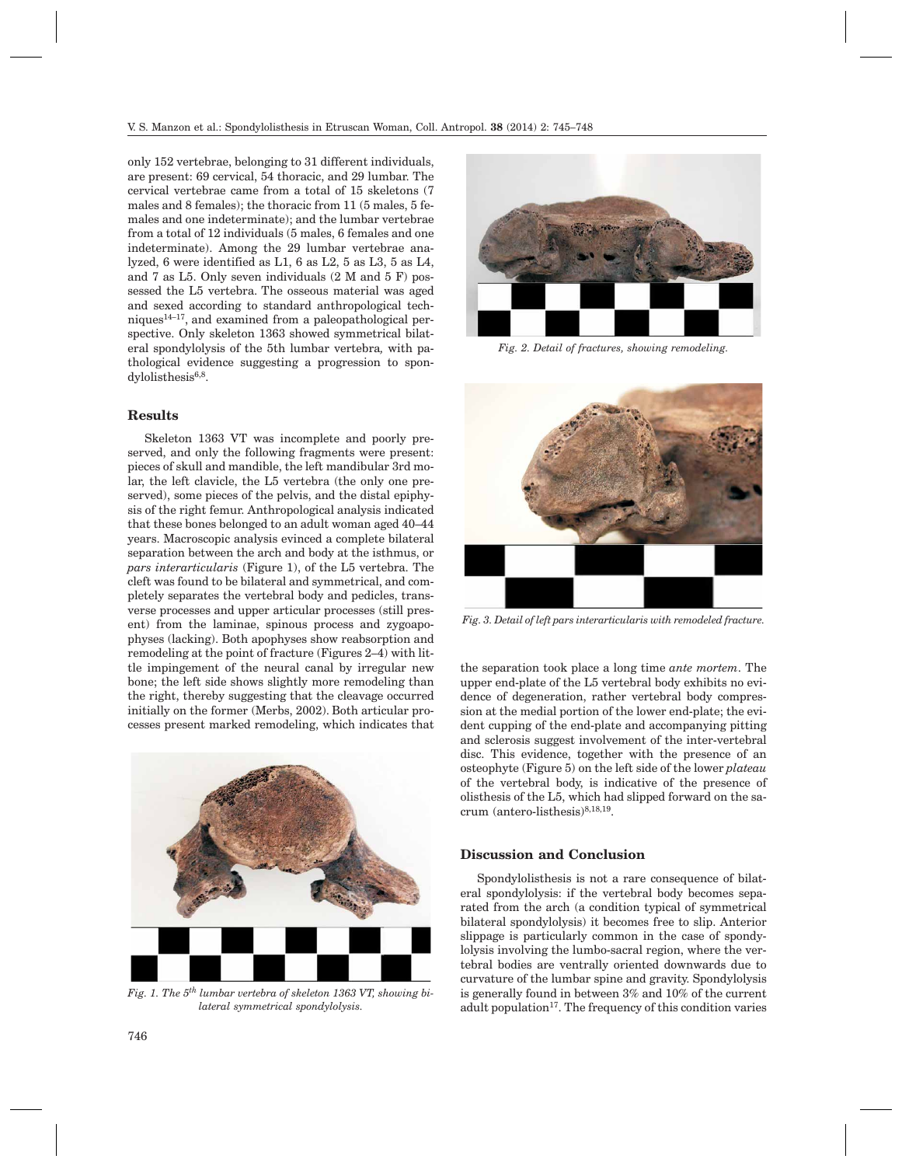only 152 vertebrae, belonging to 31 different individuals, are present: 69 cervical, 54 thoracic, and 29 lumbar. The cervical vertebrae came from a total of 15 skeletons (7 males and 8 females); the thoracic from 11 (5 males, 5 females and one indeterminate); and the lumbar vertebrae from a total of 12 individuals (5 males, 6 females and one indeterminate). Among the 29 lumbar vertebrae analyzed, 6 were identified as L1, 6 as L2, 5 as L3, 5 as L4, and 7 as L5. Only seven individuals (2 M and 5 F) possessed the L5 vertebra. The osseous material was aged and sexed according to standard anthropological techniques $14-17$ , and examined from a paleopathological perspective. Only skeleton 1363 showed symmetrical bilateral spondylolysis of the 5th lumbar vertebra*,* with pathological evidence suggesting a progression to spondylolisthesis<sup>6,8</sup>.

## **Results**

Skeleton 1363 VT was incomplete and poorly preserved, and only the following fragments were present: pieces of skull and mandible, the left mandibular 3rd molar, the left clavicle, the L5 vertebra (the only one preserved), some pieces of the pelvis, and the distal epiphysis of the right femur. Anthropological analysis indicated that these bones belonged to an adult woman aged 40–44 years. Macroscopic analysis evinced a complete bilateral separation between the arch and body at the isthmus, or *pars interarticularis* (Figure 1), of the L5 vertebra. The cleft was found to be bilateral and symmetrical, and completely separates the vertebral body and pedicles, transverse processes and upper articular processes (still present) from the laminae, spinous process and zygoapophyses (lacking). Both apophyses show reabsorption and remodeling at the point of fracture (Figures 2–4) with little impingement of the neural canal by irregular new bone; the left side shows slightly more remodeling than the right, thereby suggesting that the cleavage occurred initially on the former (Merbs, 2002). Both articular processes present marked remodeling, which indicates that



*Fig. 1. The 5th lumbar vertebra of skeleton 1363 VT, showing bilateral symmetrical spondylolysis.*



*Fig. 2. Detail of fractures, showing remodeling.*



*Fig. 3. Detail of left pars interarticularis with remodeled fracture.*

the separation took place a long time *ante mortem*. The upper end-plate of the L5 vertebral body exhibits no evidence of degeneration, rather vertebral body compression at the medial portion of the lower end-plate; the evident cupping of the end-plate and accompanying pitting and sclerosis suggest involvement of the inter-vertebral disc. This evidence, together with the presence of an osteophyte (Figure 5) on the left side of the lower *plateau* of the vertebral body, is indicative of the presence of olisthesis of the L5, which had slipped forward on the sacrum (antero-listhesis)8,18,19.

## **Discussion and Conclusion**

Spondylolisthesis is not a rare consequence of bilateral spondylolysis: if the vertebral body becomes separated from the arch (a condition typical of symmetrical bilateral spondylolysis) it becomes free to slip. Anterior slippage is particularly common in the case of spondylolysis involving the lumbo-sacral region, where the vertebral bodies are ventrally oriented downwards due to curvature of the lumbar spine and gravity. Spondylolysis is generally found in between 3% and 10% of the current adult population<sup>17</sup>. The frequency of this condition varies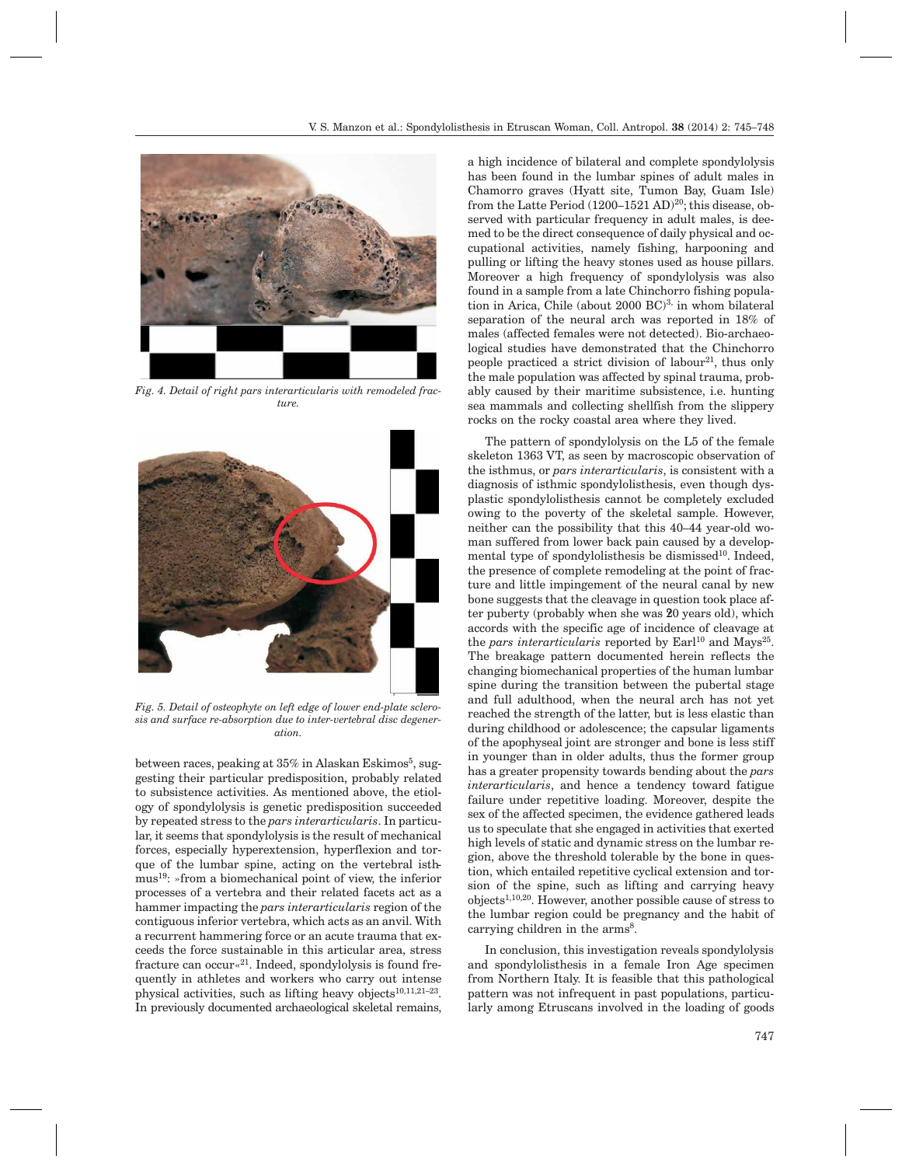

*Fig. 4. Detail of right pars interarticularis with remodeled fracture.*



*Fig. 5. Detail of osteophyte on left edge of lower end-plate sclerosis and surface re-absorption due to inter-vertebral disc degeneration.*

between races, peaking at  $35\%$  in Alaskan Eskimos<sup>5</sup>, suggesting their particular predisposition, probably related to subsistence activities. As mentioned above, the etiology of spondylolysis is genetic predisposition succeeded by repeated stress to the *pars interarticularis*. In particular, it seems that spondylolysis is the result of mechanical forces, especially hyperextension, hyperflexion and torque of the lumbar spine, acting on the vertebral isthmus19: »from a biomechanical point of view, the inferior processes of a vertebra and their related facets act as a hammer impacting the *pars interarticularis* region of the contiguous inferior vertebra, which acts as an anvil. With a recurrent hammering force or an acute trauma that exceeds the force sustainable in this articular area, stress fracture can occur«21. Indeed, spondylolysis is found frequently in athletes and workers who carry out intense physical activities, such as lifting heavy objects $10,11,21-23$ . In previously documented archaeological skeletal remains, a high incidence of bilateral and complete spondylolysis has been found in the lumbar spines of adult males in Chamorro graves (Hyatt site, Tumon Bay, Guam Isle) from the Latte Period (1200-1521 AD)<sup>20</sup>; this disease, observed with particular frequency in adult males, is deemed to be the direct consequence of daily physical and occupational activities, namely fishing, harpooning and pulling or lifting the heavy stones used as house pillars. Moreover a high frequency of spondylolysis was also found in a sample from a late Chinchorro fishing population in Arica, Chile (about 2000 BC)3, in whom bilateral separation of the neural arch was reported in 18% of males (affected females were not detected). Bio-archaeological studies have demonstrated that the Chinchorro people practiced a strict division of labour<sup>21</sup>, thus only the male population was affected by spinal trauma, probably caused by their maritime subsistence, i.e. hunting sea mammals and collecting shellfish from the slippery rocks on the rocky coastal area where they lived.

The pattern of spondylolysis on the L5 of the female skeleton 1363 VT, as seen by macroscopic observation of the isthmus, or *pars interarticularis*, is consistent with a diagnosis of isthmic spondylolisthesis, even though dysplastic spondylolisthesis cannot be completely excluded owing to the poverty of the skeletal sample. However, neither can the possibility that this 40–44 year-old woman suffered from lower back pain caused by a developmental type of spondylolisthesis be dismissed<sup>10</sup>. Indeed, the presence of complete remodeling at the point of fracture and little impingement of the neural canal by new bone suggests that the cleavage in question took place after puberty (probably when she was 20 years old), which accords with the specific age of incidence of cleavage at the *pars interarticularis* reported by Earl<sup>10</sup> and Mays<sup>25</sup>. The breakage pattern documented herein reflects the changing biomechanical properties of the human lumbar spine during the transition between the pubertal stage and full adulthood, when the neural arch has not yet reached the strength of the latter, but is less elastic than during childhood or adolescence; the capsular ligaments of the apophyseal joint are stronger and bone is less stiff in younger than in older adults, thus the former group has a greater propensity towards bending about the *pars interarticularis*, and hence a tendency toward fatigue failure under repetitive loading. Moreover, despite the sex of the affected specimen, the evidence gathered leads us to speculate that she engaged in activities that exerted high levels of static and dynamic stress on the lumbar region, above the threshold tolerable by the bone in question, which entailed repetitive cyclical extension and torsion of the spine, such as lifting and carrying heavy objects1,10,20. However, another possible cause of stress to the lumbar region could be pregnancy and the habit of carrying children in the arms<sup>8</sup>.

In conclusion, this investigation reveals spondylolysis and spondylolisthesis in a female Iron Age specimen from Northern Italy. It is feasible that this pathological pattern was not infrequent in past populations, particularly among Etruscans involved in the loading of goods